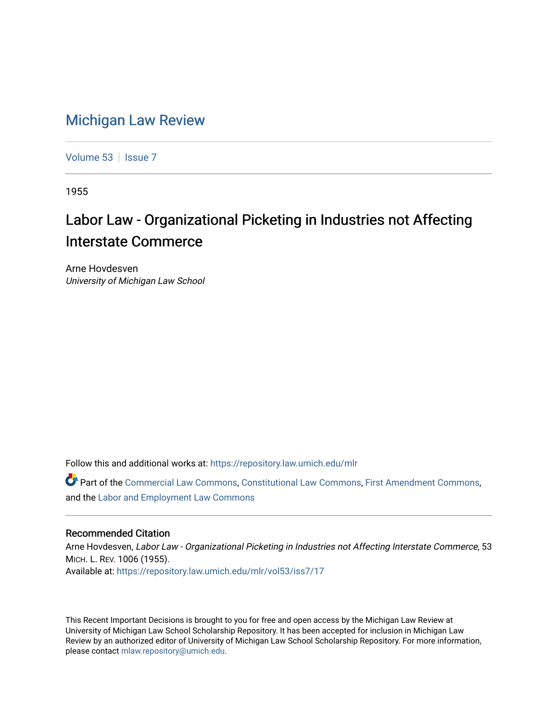## [Michigan Law Review](https://repository.law.umich.edu/mlr)

[Volume 53](https://repository.law.umich.edu/mlr/vol53) | [Issue 7](https://repository.law.umich.edu/mlr/vol53/iss7)

1955

## Labor Law - Organizational Picketing in Industries not Affecting Interstate Commerce

Arne Hovdesven University of Michigan Law School

Follow this and additional works at: [https://repository.law.umich.edu/mlr](https://repository.law.umich.edu/mlr?utm_source=repository.law.umich.edu%2Fmlr%2Fvol53%2Fiss7%2F17&utm_medium=PDF&utm_campaign=PDFCoverPages) 

Part of the [Commercial Law Commons](http://network.bepress.com/hgg/discipline/586?utm_source=repository.law.umich.edu%2Fmlr%2Fvol53%2Fiss7%2F17&utm_medium=PDF&utm_campaign=PDFCoverPages), [Constitutional Law Commons](http://network.bepress.com/hgg/discipline/589?utm_source=repository.law.umich.edu%2Fmlr%2Fvol53%2Fiss7%2F17&utm_medium=PDF&utm_campaign=PDFCoverPages), [First Amendment Commons](http://network.bepress.com/hgg/discipline/1115?utm_source=repository.law.umich.edu%2Fmlr%2Fvol53%2Fiss7%2F17&utm_medium=PDF&utm_campaign=PDFCoverPages), and the [Labor and Employment Law Commons](http://network.bepress.com/hgg/discipline/909?utm_source=repository.law.umich.edu%2Fmlr%2Fvol53%2Fiss7%2F17&utm_medium=PDF&utm_campaign=PDFCoverPages) 

## Recommended Citation

Arne Hovdesven, Labor Law - Organizational Picketing in Industries not Affecting Interstate Commerce, 53 MICH. L. REV. 1006 (1955). Available at: [https://repository.law.umich.edu/mlr/vol53/iss7/17](https://repository.law.umich.edu/mlr/vol53/iss7/17?utm_source=repository.law.umich.edu%2Fmlr%2Fvol53%2Fiss7%2F17&utm_medium=PDF&utm_campaign=PDFCoverPages) 

This Recent Important Decisions is brought to you for free and open access by the Michigan Law Review at University of Michigan Law School Scholarship Repository. It has been accepted for inclusion in Michigan Law Review by an authorized editor of University of Michigan Law School Scholarship Repository. For more information, please contact [mlaw.repository@umich.edu.](mailto:mlaw.repository@umich.edu)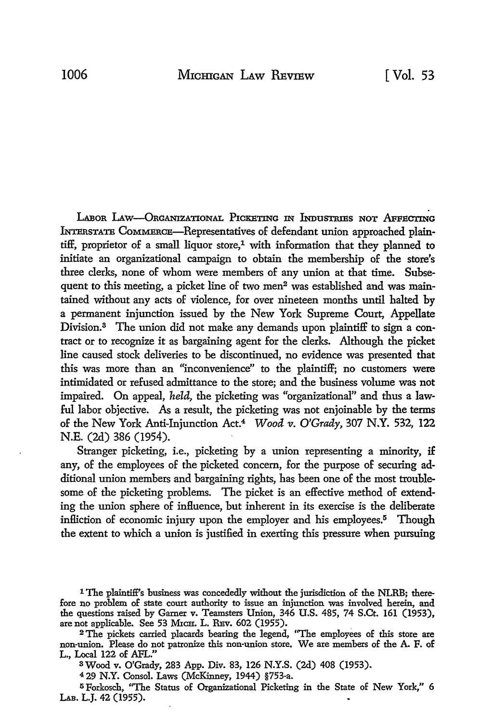LABOR LAW-ORGANIZATIONAL PICKETING IN INDUSTRIES NOT AFFECTING lNTimsTATE CoMMERCE-Representatives of defendant union approached plaintiff, proprietor of a small liquor store,<sup>1</sup> with information that they planned to initiate an organizational campaign to obtain the membership of the store's three clerks, none of whom were members of any union at that time. Subsequent to this meeting, a picket line of two men<sup>2</sup> was established and was maintained without any acts of violence, for over nineteen months until halted by a permanent injunction issued by the New York Supreme Court, Appellate Division.<sup>3</sup> The union did not make any demands upon plaintiff to sign a contract or to recognize it as bargaining agent for the clerks. Although the picket line caused stock deliveries to be discontinued, no evidence was presented that this was more than an "inconvenience" to the plaintiff; no customers were intimidated or refused admittance to the store; and the business volume was not impaired. On appeal, *held,* the picketing was "organizational" and thus a lawful labor objective. As a result, the picketing was not enjoinable by the terms of the New York Anti-Injunction Act.4 *Wood v. O'Grady,* 307 **N.Y.** 532, 122 N.E. (2d) 386 (1954).

Stranger picketing, i.e., picketing by a union representing a minority, if any, of the employees of the picketed concern, for the purpose of securing additional union members and bargaining rights, has been one of the most troublesome of the picketing problems. The picket is an effective method of extending the union sphere of influence, but inherent in its exercise is the deliberate infliction of economic injury upon the employer and his employees.<sup>5</sup> Though the extent to which a union is justified in exerting this pressure when pursuing

s Wood v. O'Grady, 283 App. Div. 83, 126 N.Y.S. (2d) 408 (1953).

<sup>4</sup>29 N.Y. Consol. Laws (McKinney, 1944) §753-a.

<sup>5</sup>Forkosch, ''The Status of Organizational Picketing in the State of New York," 6 LAB. L.J. 42 (1955).

l The plaintiff's business was concededly without the jurisdiction of the NLRB; therefore no problem of state court authority to issue an injunction was involved herein, and the questions raised by Garner v. Teamsters Union, 346 U.S. 485, 74 S.Ct. 161 (1953), are not applicable. See 53 М1сн. L. Rвv. 602 (1955).

<sup>2</sup>The pickets carried placards bearing the legend, ''The employees of this store are non-union. Please do not patronize this non-union store. We are members of the A. F. of L., Local 122 of AFL."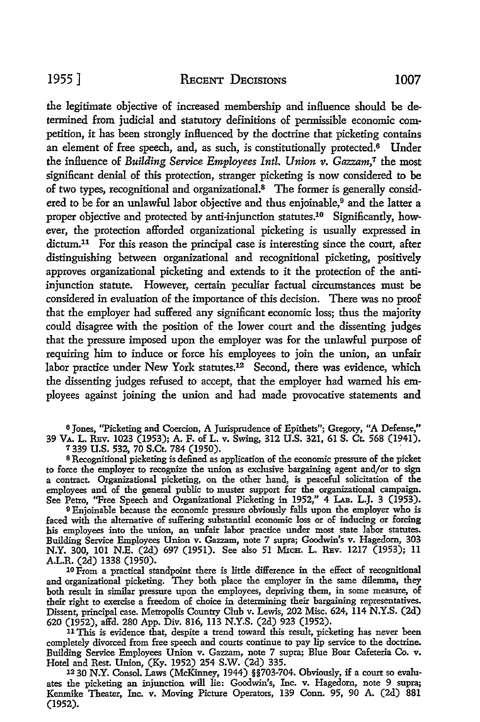the legitimate objective of increased membership and influence should be determined from judicial and statutory definitions of permissible economic competition, it has been strongly influenced by the doctrine that picketing contains an element of free speech, and, as such, is constitutionally protected.<sup>6</sup> Under the influence of *Building Service Employees Intl. Union v. Gazzam*,<sup>7</sup> the most significant denial of this protection, stranger picketing is now considered to be of two types, recognitional and organizational.8 The former is generally considered to be for an unlawful labor objective and thus enjoinable,<sup>9</sup> and the latter a proper objective and protected by anti-injunction statutes.10 Significantly, however, the protection afforded organizational picketing is usually expressed in dictum.<sup>11</sup> For this reason the principal case is interesting since the court, after distinguishing between organizational and recognitional picketing, positively approves organizational picketing and extends to it the protection of the antiinjunction statute. However, certain peculiar factual circumstances must be considered in evaluation of the importance of this decision. There was no proof that the employer had suffered any significant economic loss; thus the majority could disagree with the position of the lower court and the dissenting judges that the pressure imposed upon the employer was for the unlawful purpose of requiring him to induce or force his employees to join the union, an unfair labor practice under New York statutes.<sup>12</sup> Second, there was evidence, which the dissenting judges refused to accept, that the employer had warned his employees against joining the union and had made provocative statements and

<sup>6</sup>Jones, "Picketing and Coercion, A Jurisprudence of Epithets"; Gregory, "A Defense," 39 VA. L. REv. 1023 (1953); A. F. of L. v. Swing, 312 U.S. 321, 61 S. Ct. 568 (1941). 7 339 U.S. 532, 70 S.Ct. 784 (1950). .

8 Recognitional picketing is defined as application of the economic pressure of the picket to force the employer to recognize the union as exclusive bargaining agent and/or to sign a contract. Organizational picketing, on the other hand, is peaceful solicitation of the employees and of the general public to muster support for the organizational campaign. See Petro, "Free Speech and Organizational Picketing in 1952," 4 LAB. L.J. 3 (1953).

9 Enjoinable because the economic pressure obviously falls upon the employer who is faced with the alternative of suffering substantial economic loss or of inducing or forcing his employees into the union, an unfair labor practice under most state labor statutes. Building Service Employees Union v. Gazzam, note 7 supra; Goodwin's v. Hagedorn, 303 N.Y. 300, 101 N.E. (2d) 697 (1951). See also 51 MICH. L. REV. 1217 (1953); 11 A.L.R. (2d) 1338 (1950).

10 From a practical standpoint there is little dilference in the effect of recognitional and organizational picketing. They both place the employer in the same dilemma, they both result in similar pressure upon the employees, depriving them, in some measure, of their right to exercise a freedom of choice in determining their bargaining representatives. Dissent, principal case. Metropolis Country Club v. Lewis, 202 Misc. 624, 114 N.Y.S. (2d) 620 (1952), affd. 280 App. Div. 816, 113 N.Y.S. (2d) 923 (1952).

11 This is evidence that, despite a trend toward this result, picketing has never been completely divorced from free speech and courts continue to pay lip service to the doctrine. Building Service Employees Union v. Gazzam, note 7 supra; Blue Boar Cafeteria Co. v. Hotel and Rest. Union, (Ky. 1952) 254 S.W. (2d) 335.

12 30 **N.Y.** Consol. Laws (McKinney, 1944) §§703-704. Obviously, if a court so evaluates the picketing an injunction will lie: Goodwin's, Inc. v. Hagedorn, note 9 supra; Kenmike Theater, Inc. v. Moving Picture Operators, 139 Conn. 95, 90 A. (2d) 881 (1952).